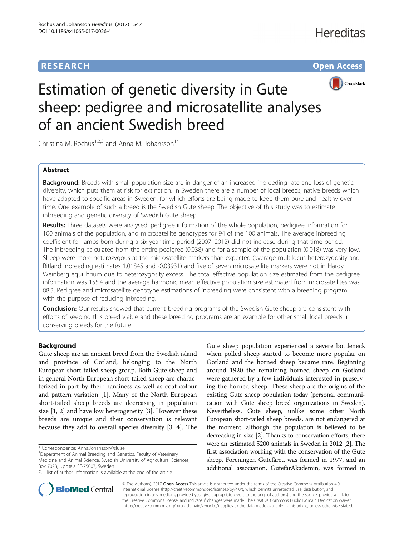# **RESEARCH CHE Open Access**



# Estimation of genetic diversity in Gute sheep: pedigree and microsatellite analyses of an ancient Swedish breed

Christina M. Rochus<sup>1,2,3</sup> and Anna M. Johansson<sup>1\*</sup>

# Abstract

**Background:** Breeds with small population size are in danger of an increased inbreeding rate and loss of genetic diversity, which puts them at risk for extinction. In Sweden there are a number of local breeds, native breeds which have adapted to specific areas in Sweden, for which efforts are being made to keep them pure and healthy over time. One example of such a breed is the Swedish Gute sheep. The objective of this study was to estimate inbreeding and genetic diversity of Swedish Gute sheep.

Results: Three datasets were analysed: pedigree information of the whole population, pedigree information for 100 animals of the population, and microsatellite genotypes for 94 of the 100 animals. The average inbreeding coefficient for lambs born during a six year time period (2007–2012) did not increase during that time period. The inbreeding calculated from the entire pedigree (0.038) and for a sample of the population (0.018) was very low. Sheep were more heterozygous at the microsatellite markers than expected (average multilocus heterozygosity and Ritland inbreeding estimates 1.01845 and -0.03931) and five of seven microsatellite markers were not in Hardy Weinberg equilibrium due to heterozygosity excess. The total effective population size estimated from the pedigree information was 155.4 and the average harmonic mean effective population size estimated from microsatellites was 88.3. Pedigree and microsatellite genotype estimations of inbreeding were consistent with a breeding program with the purpose of reducing inbreeding.

**Conclusion:** Our results showed that current breeding programs of the Swedish Gute sheep are consistent with efforts of keeping this breed viable and these breeding programs are an example for other small local breeds in conserving breeds for the future.

# Background

Gute sheep are an ancient breed from the Swedish island and province of Gotland, belonging to the North European short-tailed sheep group. Both Gute sheep and in general North European short-tailed sheep are characterized in part by their hardiness as well as coat colour and pattern variation [\[1](#page-5-0)]. Many of the North European short-tailed sheep breeds are decreasing in population size [[1, 2\]](#page-5-0) and have low heterogeneity [[3\]](#page-5-0). However these breeds are unique and their conservation is relevant because they add to overall species diversity [\[3](#page-5-0), [4](#page-5-0)]. The

<sup>1</sup>Department of Animal Breeding and Genetics, Faculty of Veterinary Medicine and Animal Science, Swedish University of Agricultural Sciences, Box 7023, Uppsala SE-75007, Sweden

Gute sheep population experienced a severe bottleneck when polled sheep started to become more popular on Gotland and the horned sheep became rare. Beginning around 1920 the remaining horned sheep on Gotland were gathered by a few individuals interested in preserving the horned sheep. These sheep are the origins of the existing Gute sheep population today (personal communication with Gute sheep breed organizations in Sweden). Nevertheless, Gute sheep, unlike some other North European short-tailed sheep breeds, are not endangered at the moment, although the population is believed to be decreasing in size [[2\]](#page-5-0). Thanks to conservation efforts, there were an estimated 5200 animals in Sweden in 2012 [\[2](#page-5-0)]. The first association working with the conservation of the Gute sheep, Föreningen Gutefåret, was formed in 1977, and an additional association, GutefårAkademin, was formed in



© The Author(s). 2017 **Open Access** This article is distributed under the terms of the Creative Commons Attribution 4.0 International License [\(http://creativecommons.org/licenses/by/4.0/](http://creativecommons.org/licenses/by/4.0/)), which permits unrestricted use, distribution, and reproduction in any medium, provided you give appropriate credit to the original author(s) and the source, provide a link to the Creative Commons license, and indicate if changes were made. The Creative Commons Public Domain Dedication waiver [\(http://creativecommons.org/publicdomain/zero/1.0/](http://creativecommons.org/publicdomain/zero/1.0/)) applies to the data made available in this article, unless otherwise stated.

<sup>\*</sup> Correspondence: [Anna.Johansson@slu.se](mailto:Anna.Johansson@slu.se) <sup>1</sup>

Full list of author information is available at the end of the article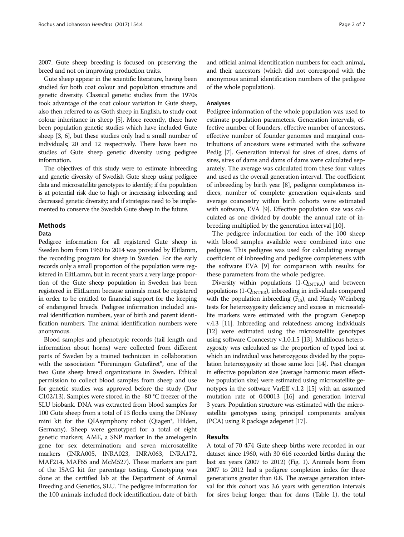2007. Gute sheep breeding is focused on preserving the breed and not on improving production traits.

Gute sheep appear in the scientific literature, having been studied for both coat colour and population structure and genetic diversity. Classical genetic studies from the 1970s took advantage of the coat colour variation in Gute sheep, also then referred to as Goth sheep in English, to study coat colour inheritance in sheep [\[5\]](#page-5-0). More recently, there have been population genetic studies which have included Gute sheep [\[3, 6](#page-5-0)], but these studies only had a small number of individuals; 20 and 12 respectively. There have been no studies of Gute sheep genetic diversity using pedigree information.

The objectives of this study were to estimate inbreeding and genetic diversity of Swedish Gute sheep using pedigree data and microsatellite genotypes to identify; if the population is at potential risk due to high or increasing inbreeding and decreased genetic diversity; and if strategies need to be implemented to conserve the Swedish Gute sheep in the future.

### Methods

#### Data

Pedigree information for all registered Gute sheep in Sweden born from 1960 to 2014 was provided by Elitlamm, the recording program for sheep in Sweden. For the early records only a small proportion of the population were registered in ElitLamm, but in recent years a very large proportion of the Gute sheep population in Sweden has been registered in ElitLamm because animals must be registered in order to be entitled to financial support for the keeping of endangered breeds. Pedigree information included animal identification numbers, year of birth and parent identification numbers. The animal identification numbers were anonymous.

Blood samples and phenotypic records (tail length and information about horns) were collected from different parts of Sweden by a trained technician in collaboration with the association "Föreningen Gutefåret", one of the two Gute sheep breed organizations in Sweden. Ethical permission to collect blood samples from sheep and use for genetic studies was approved before the study (Dnr C102/13). Samples were stored in the -80 °C freezer of the SLU biobank. DNA was extracted from blood samples for 100 Gute sheep from a total of 13 flocks using the DNeasy mini kit for the QIAsymphony robot (Qiagen®, Hilden, Germany). Sheep were genotyped for a total of eight genetic markers; AME, a SNP marker in the amelogenin gene for sex determination; and seven microsatellite markers (INRA005, INRA023, INRA063, INRA172, MAF214, MAF65 and McM527). These markers are part of the ISAG kit for parentage testing. Genotyping was done at the certified lab at the Department of Animal Breeding and Genetics, SLU. The pedigree information for the 100 animals included flock identification, date of birth

and official animal identification numbers for each animal, and their ancestors (which did not correspond with the anonymous animal identification numbers of the pedigree of the whole population).

#### Analyses

Pedigree information of the whole population was used to estimate population parameters. Generation intervals, effective number of founders, effective number of ancestors, effective number of founder genomes and marginal contributions of ancestors were estimated with the software Pedig [\[7\]](#page-5-0). Generation interval for sires of sires, dams of sires, sires of dams and dams of dams were calculated separately. The average was calculated from these four values and used as the overall generation interval. The coefficient of inbreeding by birth year [[8\]](#page-5-0), pedigree completeness indices, number of complete generation equivalents and average coancestry within birth cohorts were estimated with software, EVA [[9\]](#page-5-0). Effective population size was calculated as one divided by double the annual rate of inbreeding multiplied by the generation interval [[10](#page-5-0)].

The pedigree information for each of the 100 sheep with blood samples available were combined into one pedigree. This pedigree was used for calculating average coefficient of inbreeding and pedigree completeness with the software EVA [[9\]](#page-5-0) for comparison with results for these parameters from the whole pedigree.

Diversity within populations  $(1-Q<sub>INTRA</sub>)$  and between populations  $(1-Q<sub>INTER</sub>)$ , inbreeding in individuals compared with the population inbreeding  $(F_{IS})$ , and Hardy Weinberg tests for heterozygosity deficiency and excess in microsatellite markers were estimated with the program Genepop v.4.3 [\[11\]](#page-5-0). Inbreeding and relatedness among individuals [[12](#page-5-0)] were estimated using the microsatellite genotypes using software Coancestry v.1.0.1.5 [[13](#page-5-0)]. Multilocus heterozygosity was calculated as the proportion of typed loci at which an individual was heterozygous divided by the population heterozygosity at those same loci [\[14\]](#page-5-0). Past changes in effective population size (average harmonic mean effective population size) were estimated using microsatellite genotypes in the software VarEff v.1.2 [\[15\]](#page-5-0) with an assumed mutation rate of 0.00013 [[16](#page-5-0)] and generation interval 3 years. Population structure was estimated with the microsatellite genotypes using principal components analysis (PCA) using R package adegenet [\[17\]](#page-5-0).

#### Results

A total of 70 474 Gute sheep births were recorded in our dataset since 1960, with 30 616 recorded births during the last six years (2007 to 2012) (Fig. [1\)](#page-2-0). Animals born from 2007 to 2012 had a pedigree completion index for three generations greater than 0.8. The average generation interval for this cohort was 3.6 years with generation intervals for sires being longer than for dams (Table [1](#page-2-0)), the total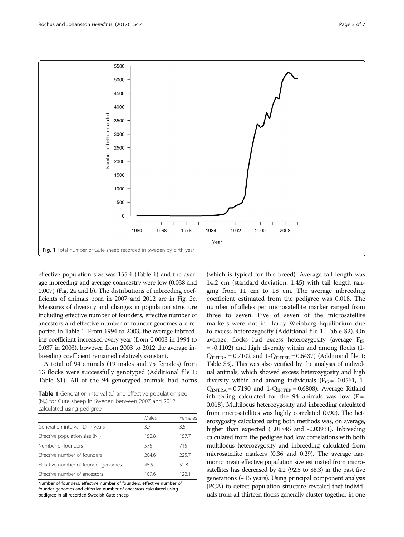

<span id="page-2-0"></span>

effective population size was 155.4 (Table 1) and the average inbreeding and average coancestry were low (0.038 and 0.007) (Fig. [2a and b](#page-3-0)). The distributions of inbreeding coefficients of animals born in 2007 and 2012 are in Fig. [2c](#page-3-0). Measures of diversity and changes in population structure including effective number of founders, effective number of ancestors and effective number of founder genomes are reported in Table 1. From 1994 to 2003, the average inbreeding coefficient increased every year (from 0.0003 in 1994 to 0.037 in 2003), however, from 2003 to 2012 the average inbreeding coefficient remained relatively constant.

A total of 94 animals (19 males and 75 females) from 13 flocks were successfully genotyped (Additional file [1](#page-5-0): Table S1). All of the 94 genotyped animals had horns

**Table 1** Generation interval (L) and effective population size  $(N<sub>e</sub>)$  for Gute sheep in Sweden between 2007 and 2012 calculated using pedigree

|                                     | Males | Females |
|-------------------------------------|-------|---------|
| Generation interval (L) in years    | 3.7   | 3.5     |
| Effective population size $(N_e)$   | 152.8 | 157.7   |
| Number of founders                  | 575   | 715     |
| Effective number of founders        | 204.6 | 225.7   |
| Effective number of founder genomes | 45.5  | 52.8    |
| Effective number of ancestors       | 109.6 | 122.1   |

Number of founders, effective number of founders, effective number of founder genomes and effective number of ancestors calculated using pedigree in all recorded Swedish Gute sheep

(which is typical for this breed). Average tail length was 14.2 cm (standard deviation: 1.45) with tail length ranging from 11 cm to 18 cm. The average inbreeding coefficient estimated from the pedigree was 0.018. The number of alleles per microsatellite marker ranged from three to seven. Five of seven of the microsatellite markers were not in Hardy Weinberg Equilibrium due to excess heterozygosity (Additional file [1:](#page-5-0) Table S2). On average, flocks had excess heterozygosity (average  $F_{IS}$ ) = -0.1102) and high diversity within and among flocks (1-  $Q<sub>INTRA</sub> = 0.7102$  and  $1-Q<sub>INTER</sub> = 0.6437$  (Additional file [1](#page-5-0): Table S3). This was also verified by the analysis of individual animals, which showed excess heterozygosity and high diversity within and among individuals  $(F_{IS} = -0.0561, 1$ - $Q_{\text{INTRA}} = 0.7190$  and  $1-Q_{\text{INTER}} = 0.6808$ ). Average Ritland inbreeding calculated for the 94 animals was low  $(F =$ 0.018). Multilocus heterozygosity and inbreeding calculated from microsatellites was highly correlated (0.90). The heterozygosity calculated using both methods was, on average, higher than expected (1.01845 and -0.03931). Inbreeding calculated from the pedigree had low correlations with both multilocus heterozygosity and inbreeding calculated from microsatellite markers (0.36 and 0.29). The average harmonic mean effective population size estimated from microsatellites has decreased by 4.2 (92.5 to 88.3) in the past five generations (~15 years). Using principal component analysis (PCA) to detect population structure revealed that individuals from all thirteen flocks generally cluster together in one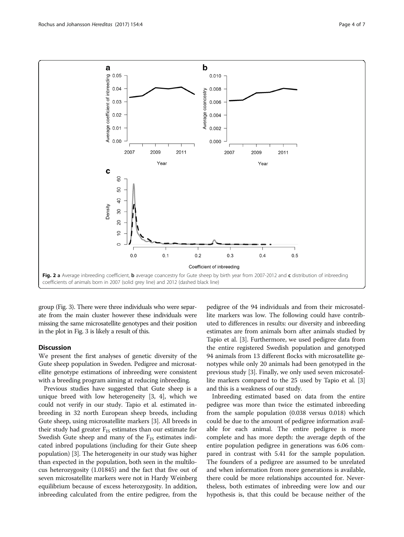<span id="page-3-0"></span>

group (Fig. [3\)](#page-4-0). There were three individuals who were separate from the main cluster however these individuals were missing the same microsatellite genotypes and their position in the plot in Fig. [3](#page-4-0) is likely a result of this.

# **Discussion**

We present the first analyses of genetic diversity of the Gute sheep population in Sweden. Pedigree and microsatellite genotype estimations of inbreeding were consistent with a breeding program aiming at reducing inbreeding.

Previous studies have suggested that Gute sheep is a unique breed with low heterogeneity [\[3](#page-5-0), [4\]](#page-5-0), which we could not verify in our study. Tapio et al. estimated inbreeding in 32 north European sheep breeds, including Gute sheep, using microsatellite markers [\[3](#page-5-0)]. All breeds in their study had greater  $F_{IS}$  estimates than our estimate for Swedish Gute sheep and many of the  $F_{IS}$  estimates indicated inbred populations (including for their Gute sheep population) [[3](#page-5-0)]. The heterogeneity in our study was higher than expected in the population, both seen in the multilocus heterozygosity (1.01845) and the fact that five out of seven microsatellite markers were not in Hardy Weinberg equilibrium because of excess heterozygosity. In addition, inbreeding calculated from the entire pedigree, from the

pedigree of the 94 individuals and from their microsatellite markers was low. The following could have contributed to differences in results: our diversity and inbreeding estimates are from animals born after animals studied by Tapio et al. [\[3](#page-5-0)]. Furthermore, we used pedigree data from the entire registered Swedish population and genotyped 94 animals from 13 different flocks with microsatellite genotypes while only 20 animals had been genotyped in the previous study [\[3\]](#page-5-0). Finally, we only used seven microsatellite markers compared to the 25 used by Tapio et al. [[3](#page-5-0)] and this is a weakness of our study.

Inbreeding estimated based on data from the entire pedigree was more than twice the estimated inbreeding from the sample population (0.038 versus 0.018) which could be due to the amount of pedigree information available for each animal. The entire pedigree is more complete and has more depth: the average depth of the entire population pedigree in generations was 6.06 compared in contrast with 5.41 for the sample population. The founders of a pedigree are assumed to be unrelated and when information from more generations is available, there could be more relationships accounted for. Nevertheless, both estimates of inbreeding were low and our hypothesis is, that this could be because neither of the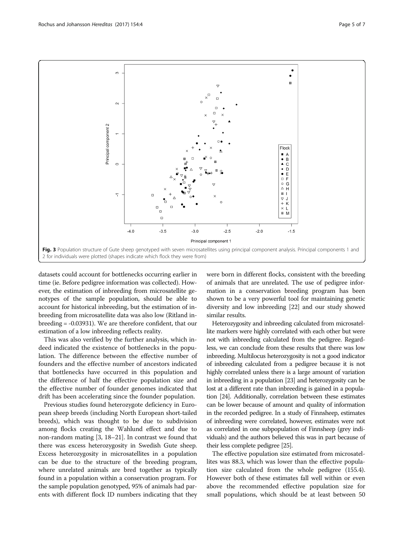<span id="page-4-0"></span>

datasets could account for bottlenecks occurring earlier in time (ie. Before pedigree information was collected). However, the estimation of inbreeding from microsatellite genotypes of the sample population, should be able to account for historical inbreeding, but the estimation of inbreeding from microsatellite data was also low (Ritland inbreeding = -0.03931). We are therefore confident, that our estimation of a low inbreeding reflects reality.

This was also verified by the further analysis, which indeed indicated the existence of bottlenecks in the population. The difference between the effective number of founders and the effective number of ancestors indicated that bottlenecks have occurred in this population and the difference of half the effective population size and the effective number of founder genomes indicated that drift has been accelerating since the founder population.

Previous studies found heterozygote deficiency in European sheep breeds (including North European short-tailed breeds), which was thought to be due to subdivision among flocks creating the Wahlund effect and due to non-random mating [\[3](#page-5-0), [18](#page-5-0)–[21](#page-6-0)]. In contrast we found that there was excess heterozygosity in Swedish Gute sheep. Excess heterozygosity in microsatellites in a population can be due to the structure of the breeding program, where unrelated animals are bred together as typically found in a population within a conservation program. For the sample population genotyped, 95% of animals had parents with different flock ID numbers indicating that they were born in different flocks, consistent with the breeding of animals that are unrelated. The use of pedigree information in a conservation breeding program has been shown to be a very powerful tool for maintaining genetic diversity and low inbreeding [\[22\]](#page-6-0) and our study showed similar results.

Heterozygosity and inbreeding calculated from microsatellite markers were highly correlated with each other but were not with inbreeding calculated from the pedigree. Regardless, we can conclude from these results that there was low inbreeding. Multilocus heterozygosity is not a good indicator of inbreeding calculated from a pedigree because it is not highly correlated unless there is a large amount of variation in inbreeding in a population [\[23\]](#page-6-0) and heterozygosity can be lost at a different rate than inbreeding is gained in a population [[24](#page-6-0)]. Additionally, correlation between these estimates can be lower because of amount and quality of information in the recorded pedigree. In a study of Finnsheep, estimates of inbreeding were correlated, however, estimates were not as correlated in one subpopulation of Finnsheep (grey individuals) and the authors believed this was in part because of their less complete pedigree [[25\]](#page-6-0).

The effective population size estimated from microsatellites was 88.3, which was lower than the effective population size calculated from the whole pedigree (155.4). However both of these estimates fall well within or even above the recommended effective population size for small populations, which should be at least between 50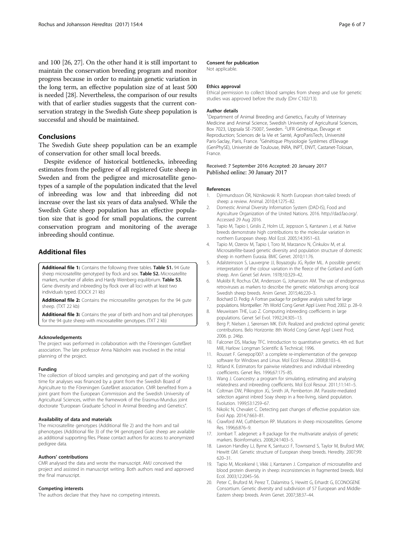<span id="page-5-0"></span>and 100 [[26](#page-6-0), [27\]](#page-6-0). On the other hand it is still important to maintain the conservation breeding program and monitor progress because in order to maintain genetic variation in the long term, an effective population size of at least 500 is needed [[28](#page-6-0)]. Nevertheless, the comparison of our results with that of earlier studies suggests that the current conservation strategy in the Swedish Gute sheep population is successful and should be maintained.

# Conclusions

The Swedish Gute sheep population can be an example of conservation for other small local breeds.

Despite evidence of historical bottlenecks, inbreeding estimates from the pedigree of all registered Gute sheep in Sweden and from the pedigree and microsatellite genotypes of a sample of the population indicated that the level of inbreeding was low and that inbreeding did not increase over the last six years of data analysed. While the Swedish Gute sheep population has an effective population size that is good for small populations, the current conservation program and monitoring of the average inbreeding should continue.

## Additional files

[Additional file 1:](dx.doi.org/10.1186/s41065-017-0026-4) Contains the following three tables. Table S1. 94 Gute sheep microsatellite genotyped by flock and sex. Table S2. Microsatellite markers, number of alleles and Hardy Weinberg equilibrium. Table S3. Gene diversity and inbreeding by flock over all loci with at least two individuals typed. (DOCX 21 kb)

[Additional file 2:](dx.doi.org/10.1186/s41065-017-0026-4) Contains the microsatellite genotypes for the 94 gute sheep. (TXT 22 kb)

[Additional file 3:](dx.doi.org/10.1186/s41065-017-0026-4) Contains the year of birth and horn and tail phenotypes for the 94 gute sheep with microsatellite genotypes. (TXT 2 kb)

#### Acknowledgements

The project was performed in collaboration with the Föreningen Gutefåret association. The late professor Anna Näsholm was involved in the initial planning of the project.

#### Funding

The collection of blood samples and genotyping and part of the working time for analyses was financed by a grant from the Swedish Board of Agriculture to the Föreningen Gutefåret association. CMR benefited from a joint grant from the European Commission and the Swedish University of Agricultural Sciences, within the framework of the Erasmus-Mundus joint doctorate "European Graduate School in Animal Breeding and Genetics".

#### Availability of data and materials

The microsatellite genotypes (Additional file 2) and the horn and tail phenotypes (Additional file 3) of the 94 genotyped Gute sheep are available as additional supporting files. Please contact authors for access to anonymized pedigree data.

#### Authors' contributions

CMR analysed the data and wrote the manuscript. AMJ conceived the project and assisted in manuscript writing. Both authors read and approved the final manuscript.

#### Competing interests

The authors declare that they have no competing interests.

#### Consent for publication

Not applicable.

#### Ethics approval

Ethical permission to collect blood samples from sheep and use for genetic studies was approved before the study (Dnr C102/13).

#### Author details

<sup>1</sup>Department of Animal Breeding and Genetics, Faculty of Veterinary Medicine and Animal Science, Swedish University of Agricultural Sciences, Box 7023, Uppsala SE-75007, Sweden. <sup>2</sup>UFR Génétique, Élevage et Reproduction; Sciences de la Vie et Santé, AgroParisTech, Université Paris-Saclay, Paris, France. <sup>3</sup>Génétique Physiologie Systèmes d'Elevage (GenPhySE), Université de Toulouse, INRA, INPT, ENVT, Castanet-Tolosan, France.

#### Received: 7 September 2016 Accepted: 20 January 2017 Published online: 30 January 2017

#### References

- 1. Dýrmundsson ÓR, Niżnikowski R. North European short-tailed breeds of sheep: a review. Animal. 2010;4:1275–82.
- 2. Domestic Animal Diversity Information System (DAD-IS), Food and Agriculture Organization of the United Nations. 2016.<http://dad.fao.org/>. Accessed 29 Aug 2016.
- 3. Tapio M, Tapio I, Grislis Z, Holm LE, Jeppsson S, Kantanen J, et al. Native breeds demonstrate high contributions to the molecular variation in northern European sheep. Mol Ecol. 2005;14:3951–63.
- 4. Tapio M, Ozerov M, Tapio I, Toro M, Marzanov N, Ćinkulov M, et al. Microsatellite-based genetic diversity and population structure of domestic sheep in northern Eurasia. BMC Genet. 2010;11:76.
- 5. Adalsteinsson S, Lauvergne JJ, Boyazoglu JG, Ryder ML. A possible genetic interpretation of the colour variation in the fleece of the Gotland and Goth sheep. Ann Genet Sel Anim. 1978;10:329–42.
- 6. Mukiibi R, Rochus CM, Andersson G, Johansson AM. The use of endogenous retroviruses as markers to describe the genetic relationships among local Swedish sheep breeds. Anim Genet. 2015;46:220–3.
- 7. Boichard D. Pedig: A Fortran package for pedigree analysis suited for large populations. Montpellier: 7th World Cong Genet Appl Livest Prod; 2002. p. 28–9.
- 8. Meuwissen THE, Luo Z. Computing inbreeding coefficients in large populations. Genet Sel Evol. 1992;24:305–13.
- 9. Berg P, Nielsen J, Sørensen MK. EVA: Realized and predicted optimal genetic contributions. Belo Horizonte: 8th World Cong Genet Appl Livest Prod; 2006. p. 246p.
- 10. Falconer DS, Mackay TFC. Introduction to quantitative genetics. 4th ed. Burt Mill, Harlow: Longman Scientific & Technical; 1996.
- 11. Rousset F. Genepop'007: a complete re-implementation of the genepop software for Windows and Linux. Mol Ecol Resour. 2008;8:103–6.
- 12. Ritland K. Estimators for pairwise relatedness and individual inbreeding coefficients. Genet Res. 1996;67:175–85.
- 13. Wang J. Coancestry: a program for simulating, estimating and analysing relatedness and inbreeding coefficients. Mol Ecol Resour. 2011;11:141–5.
- 14. Coltman DW, Pilkington JG, Smith JA, Pemberton JM. Parasite-mediated selection against inbred Soay sheep in a free-living, island population. Evolution. 1999;53:1259–67.
- 15. Nikolic N, Chevalet C. Detecting past changes of effective population size. Evol App. 2014;7:663–81.
- 16. Crawford AM, Cuthbertson RP. Mutations in sheep microsatellites. Genome Res. 1996;6:876–9.
- 17. Jombart T. adegenet: a R package for the multivariate analysis of genetic markers. Bioinformatics. 2008;24:1403–5.
- 18. Lawson Handley LJ, Byrne K, Santucci F, Townsend S, Taylor M, Bruford MW, Hewitt GM. Genetic structure of European sheep breeds. Heredity. 2007;99: 620–31.
- 19. Tapio M, Miceikiené I, Vikki J, Kantanen J. Comparison of microsatellite and blood protein diversity in sheep: inconsistencies in fragmented breeds. Mol Ecol. 2003;12:2045–56.
- 20. Peter C, Bruford M, Perez T, Dalamitra S, Hewitt G, Erhardt G, ECONOGENE Consortium. Genetic diversity and subdivision of 57 European and Middle-Eastern sheep breeds. Anim Genet. 2007;38:37–44.